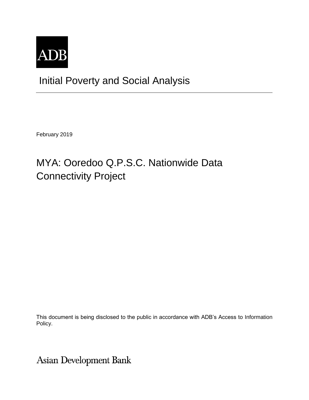

## Initial Poverty and Social Analysis

February 2019

# MYA: Ooredoo Q.P.S.C. Nationwide Data Connectivity Project

This document is being disclosed to the public in accordance with ADB's Access to Information Policy.

Asian Development Bank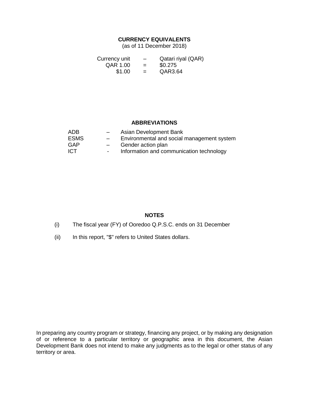#### **CURRENCY EQUIVALENTS**

(as of 11 December 2018)

| Currency unit | $\overline{\phantom{0}}$ | Qatari riyal (QAR) |
|---------------|--------------------------|--------------------|
| QAR 1.00      | $=$                      | \$0.275            |
| \$1.00        | $=$                      | QAR3.64            |

#### **ABBREVIATIONS**

| ADB         | $-$                      | Asian Development Bank                     |
|-------------|--------------------------|--------------------------------------------|
| <b>ESMS</b> | $\overline{\phantom{0}}$ | Environmental and social management system |
| GAP         | $-$                      | Gender action plan                         |
| <b>ICT</b>  | $\sim$                   | Information and communication technology   |

#### **NOTES**

- (i) The fiscal year (FY) of Ooredoo Q.P.S.C. ends on 31 December
- (ii) In this report, "\$" refers to United States dollars.

In preparing any country program or strategy, financing any project, or by making any designation of or reference to a particular territory or geographic area in this document, the Asian Development Bank does not intend to make any judgments as to the legal or other status of any territory or area.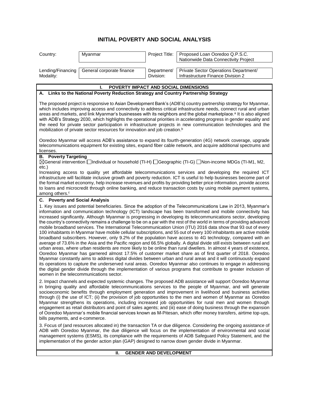### **INITIAL POVERTY AND SOCIAL ANALYSIS**

| Country:                               | Myanmar                                                                                | Project Title:                | Proposed Loan Ooredoo Q.P.S.C.<br>Nationwide Data Connectivity Project                                                                                                                                                                                                                                                                                                                                                                                                                                                                                                                                                                                                                                                                                                                                                                                                                                                                                                                                                                                                                                                                                                                                                                                                                                                                                                                                                                                                                                                                                    |
|----------------------------------------|----------------------------------------------------------------------------------------|-------------------------------|-----------------------------------------------------------------------------------------------------------------------------------------------------------------------------------------------------------------------------------------------------------------------------------------------------------------------------------------------------------------------------------------------------------------------------------------------------------------------------------------------------------------------------------------------------------------------------------------------------------------------------------------------------------------------------------------------------------------------------------------------------------------------------------------------------------------------------------------------------------------------------------------------------------------------------------------------------------------------------------------------------------------------------------------------------------------------------------------------------------------------------------------------------------------------------------------------------------------------------------------------------------------------------------------------------------------------------------------------------------------------------------------------------------------------------------------------------------------------------------------------------------------------------------------------------------|
| Lending/Financing<br>Modality:         | General corporate finance                                                              | Department/<br>Division:      | Private Sector Operations Department/<br>Infrastructure Finance Division 2                                                                                                                                                                                                                                                                                                                                                                                                                                                                                                                                                                                                                                                                                                                                                                                                                                                                                                                                                                                                                                                                                                                                                                                                                                                                                                                                                                                                                                                                                |
|                                        | POVERTY IMPACT AND SOCIAL DIMENSIONS<br>L                                              |                               |                                                                                                                                                                                                                                                                                                                                                                                                                                                                                                                                                                                                                                                                                                                                                                                                                                                                                                                                                                                                                                                                                                                                                                                                                                                                                                                                                                                                                                                                                                                                                           |
|                                        | A. Links to the National Poverty Reduction Strategy and Country Partnership Strategy   |                               |                                                                                                                                                                                                                                                                                                                                                                                                                                                                                                                                                                                                                                                                                                                                                                                                                                                                                                                                                                                                                                                                                                                                                                                                                                                                                                                                                                                                                                                                                                                                                           |
| licenses.                              | mobilization of private sector resources for innovation and job creation. <sup>b</sup> |                               | The proposed project is responsive to Asian Development Bank's (ADB's) country partnership strategy for Myanmar,<br>which includes improving access and connectivity to address critical infrastructure needs, connect rural and urban<br>areas and markets, and link Myanmar's businesses with its neighbors and the global marketplace. <sup>a</sup> It is also aligned<br>with ADB's Strategy 2030, which highlights the operational priorities in accelerating progress in gender equality and<br>the need for private sector participation in infrastructure projects in new communication technologies and the<br>Ooredoo Myanmar will access ADB's assistance to expand its fourth-generation (4G) network coverage, upgrade<br>telecommunications equipment for existing sites, expand fiber cable network, and acquire additional spectrums and                                                                                                                                                                                                                                                                                                                                                                                                                                                                                                                                                                                                                                                                                                  |
| <b>B.</b> Poverty Targeting            |                                                                                        |                               |                                                                                                                                                                                                                                                                                                                                                                                                                                                                                                                                                                                                                                                                                                                                                                                                                                                                                                                                                                                                                                                                                                                                                                                                                                                                                                                                                                                                                                                                                                                                                           |
| $etc.$ )<br>among others. <sup>c</sup> |                                                                                        |                               | [TI-G] Scheral intervention intervidual or household (TI-H) Corporaphic (TI-G) Distrincione MDGs (TI-M1, M2,<br>Increasing access to quality yet affordable telecommunications services and developing the required ICT<br>infrastructure will facilitate inclusive growth and poverty reduction. ICT is useful to help businesses become part of<br>the formal market economy, help increase revenues and profits by providing better price information, provide access<br>to loans and microcredit through online banking, and reduce transaction costs by using mobile payment systems,                                                                                                                                                                                                                                                                                                                                                                                                                                                                                                                                                                                                                                                                                                                                                                                                                                                                                                                                                                |
| <b>C.</b> Poverty and Social Analysis  |                                                                                        |                               |                                                                                                                                                                                                                                                                                                                                                                                                                                                                                                                                                                                                                                                                                                                                                                                                                                                                                                                                                                                                                                                                                                                                                                                                                                                                                                                                                                                                                                                                                                                                                           |
|                                        | women in the telecommunications sector.                                                |                               | 1. Key issues and potential beneficiaries. Since the adoption of the Telecommunications Law in 2013, Myanmar's<br>information and communication technology (ICT) landscape has been transformed and mobile connectivity has<br>increased significantly. Although Myanmar is progressing in developing its telecommunications sector, developing<br>the country's connectivity remains a challenge to be on a par with the rest of the world in terms of providing advanced<br>mobile broadband services. The International Telecommunication Union (ITU) 2016 data show that 93 out of every<br>100 inhabitants in Myanmar have mobile cellular subscriptions, and 55 out of every 100 inhabitants are active mobile<br>broadband subscribers. However, only 9.2% of the population have access to 4G technology, compared with an<br>average of 73.6% in the Asia and the Pacific region and 66.5% globally. A digital divide still exists between rural and<br>urban areas, where urban residents are more likely to be online than rural dwellers. In almost 4 years of existence,<br>Ooredoo Myanmar has garnered almost 17.5% of customer market share as of first quarter of 2018. Ooredoo<br>Myanmar constantly aims to address digital divides between urban and rural areas and it will continuously expand<br>its operations to capture the underserved rural areas. Ooredoo Myanmar also continues to engage in addressing<br>the digital gender divide through the implementation of various programs that contribute to greater inclusion of |
| bills payments, and e-commerce.        |                                                                                        |                               | 2. Impact channels and expected systemic changes. The proposed ADB assistance will support Ooredoo Myanmar<br>in bringing quality and affordable telecommunications services to the people of Myanmar, and will generate<br>socioeconomic benefits through employment generation and improvement in livelihood and business activities<br>through (i) the use of ICT; (ii) the provision of job opportunities to the men and women of Myanmar as Ooredoo<br>Myanmar strengthens its operations, including increased job opportunities for rural men and women through<br>engagement as retail distributors and point of sales agents; and (iii) ease of doing business through the expansion<br>of Ooredoo Myanmar's mobile financial services known as M-Pitesan, which offer money transfers, airtime top-ups,                                                                                                                                                                                                                                                                                                                                                                                                                                                                                                                                                                                                                                                                                                                                          |
|                                        |                                                                                        |                               | 3. Focus of (and resources allocated in) the transaction TA or due diligence. Considering the ongoing assistance of<br>ADB with Ooredoo Myanmar, the due diligence will focus on the implementation of environmental and social<br>management systems (ESMS), its compliance with the requirements of ADB Safeguard Policy Statement, and the<br>implementation of the gender action plan (GAP) designed to narrow down gender divide in Myanmar.                                                                                                                                                                                                                                                                                                                                                                                                                                                                                                                                                                                                                                                                                                                                                                                                                                                                                                                                                                                                                                                                                                         |
|                                        | Ш.                                                                                     | <b>GENDER AND DEVELOPMENT</b> |                                                                                                                                                                                                                                                                                                                                                                                                                                                                                                                                                                                                                                                                                                                                                                                                                                                                                                                                                                                                                                                                                                                                                                                                                                                                                                                                                                                                                                                                                                                                                           |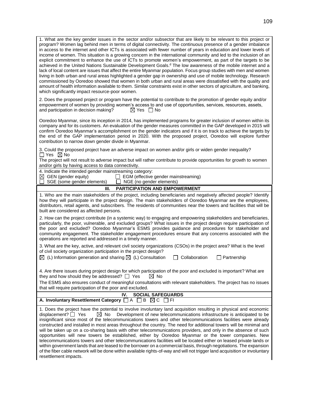1. What are the key gender issues in the sector and/or subsector that are likely to be relevant to this project or program? Women lag behind men in terms of digital connectivity. The continuous presence of a gender imbalance in access to the internet and other ICTs is associated with fewer number of years in education and lower levels of income of women. This situation is a growing concern in the international community and led to the inclusion of an explicit commitment to enhance the use of ICTs to promote women's empowerment, as part of the targets to be achieved in the United Nations Sustainable Development Goals.<sup>d</sup> The low awareness of the mobile internet and a lack of local content are issues that affect the entire Myanmar population. Focus group studies with men and women living in both urban and rural areas highlighted a gender gap in ownership and use of mobile technology. Research commissioned by Ooredoo showed that women in both urban and rural areas were dissatisfied with the quality and amount of health information available to them. Similar constraints exist in other sectors of agriculture, and banking, which significantly impact resource-poor women.

2. Does the proposed project or program have the potential to contribute to the promotion of gender equity and/or empowerment of women by providing women's access to and use of opportunities, services, resources, assets, and participation in decision making?  $\boxtimes$  Yes  $\Box$  No

Ooredoo Myanmar, since its inception in 2014, has implemented programs for greater inclusion of women within its company and for its customers. An evaluation of the gender measures committed in the GAP developed in 2015 will confirm Ooredoo Myanmar's accomplishment on the gender indicators and if it is on track to achieve the targets by the end of the GAP implementation period in 2020. With the proposed project, Ooredoo will explore further contribution to narrow down gender divide in Myanmar.

3. Could the proposed project have an adverse impact on women and/or girls or widen gender inequality?  $\Box$  Yes  $\boxtimes$  No

The project will not result to adverse impact but will rather contribute to provide opportunities for growth to women and/or girls by having access to data connectivity.

| 4. Indicate the intended gender mainstreaming category:<br>$\boxtimes$ GEN (gender equity)<br>$\Box$ EGM (effective gender mainstreaming)<br>SGE (some gender elements)<br>NGE (no gender elements)                                                                                                                                                                                                                                                                                                                    |
|------------------------------------------------------------------------------------------------------------------------------------------------------------------------------------------------------------------------------------------------------------------------------------------------------------------------------------------------------------------------------------------------------------------------------------------------------------------------------------------------------------------------|
| <b>PARTICIPATION AND EMPOWERMENT</b><br>Ш.                                                                                                                                                                                                                                                                                                                                                                                                                                                                             |
| 1. Who are the main stakeholders of the project, including beneficiaries and negatively affected people? Identify<br>how they will participate in the project design. The main stakeholders of Ooredoo Myanmar are the employees,<br>distributors, retail agents, and subscribers. The residents of communities near the towers and facilities that will be<br>built are considered as affected persons.                                                                                                               |
| 2. How can the project contribute (in a systemic way) to engaging and empowering stakeholders and beneficiaries,<br>particularly, the poor, vulnerable, and excluded groups? What issues in the project design require participation of<br>the poor and excluded? Ooredoo Myanmar's ESMS provides guidance and procedures for stakeholder and<br>community engagement. The stakeholder engagement procedures ensure that any concerns associated with the<br>operations are reported and addressed in a timely manner. |
| 3. What are the key, active, and relevant civil society organizations (CSOs) in the project area? What is the level<br>of civil society organization participation in the project design?<br>$\boxtimes$ (L) Information generation and sharing $\boxtimes$ (L) Consultation<br>Collaboration<br>Partnership                                                                                                                                                                                                           |
| 4. Are there issues during project design for which participation of the poor and excluded is important? What are<br>they and how should they be addressed? $\Box$ Yes<br>$\bowtie$ No                                                                                                                                                                                                                                                                                                                                 |

The ESMS also ensures conduct of meaningful consultations with relevant stakeholders. The project has no issues that will require participation of the poor and excluded.

| IV. SOCIAL SAFEGUARDS                                                   |  |
|-------------------------------------------------------------------------|--|
| A. Involuntary Resettlement Category $\Box A \Box B \boxtimes C \Box F$ |  |
|                                                                         |  |

1. Does the project have the potential to involve involuntary land acquisition resulting in physical and economic displacement?  $\Box$  Yes  $\Box$  No Development of new telecommunications infrastructure is anticipated to be insignificant since most of the telecommunications towers and other telecommunications facilities were already constructed and installed in most areas throughout the country. The need for additional towers will be minimal and will be taken up on a co-sharing basis with other telecommunications providers, and only in the absence of such opportunities will new towers be established, either by Ooredoo Myanmar or the tower companies. New telecommunications towers and other telecommunications facilities will be located either on leased private lands or within government lands that are leased to the borrower on a commercial basis, through negotiations. The expansion of the fiber cable network will be done within available rights-of-way and will not trigger land acquisition or involuntary resettlement impacts.